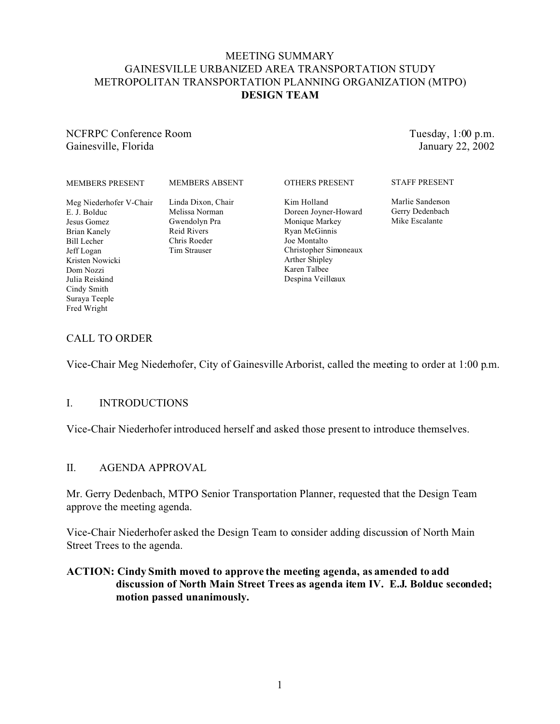## MEETING SUMMARY GAINESVILLE URBANIZED AREA TRANSPORTATION STUDY METROPOLITAN TRANSPORTATION PLANNING ORGANIZATION (MTPO) **DESIGN TEAM**

## NCFRPC Conference Room Gainesville, Florida

Tuesday, 1:00 p.m. January 22, 2002

| <b>MEMBERS PRESENT</b>  | <b>MEMBERS ABSENT</b> | <b>OTHERS PRESENT</b> | <b>STAFF PRESENT</b> |
|-------------------------|-----------------------|-----------------------|----------------------|
| Meg Niederhofer V-Chair | Linda Dixon, Chair    | Kim Holland           | Marlie Sanderson     |
| E. J. Bolduc            | Melissa Norman        | Doreen Joyner-Howard  | Gerry Dedenbach      |
| Jesus Gomez             | Gwendolyn Pra         | Monique Markey        | Mike Escalante       |
| Brian Kanely            | Reid Rivers           | Ryan McGinnis         |                      |
| <b>Bill Lecher</b>      | Chris Roeder          | Joe Montalto          |                      |
| Jeff Logan              | Tim Strauser          | Christopher Simoneaux |                      |
| Kristen Nowicki         |                       | Arther Shipley        |                      |
| Dom Nozzi               |                       | Karen Talbee          |                      |
| Julia Reiskind          |                       | Despina Veilleaux     |                      |
| Cindy Smith             |                       |                       |                      |
| Suraya Teeple           |                       |                       |                      |
| Fred Wright             |                       |                       |                      |

## CALL TO ORDER

Vice-Chair Meg Niederhofer, City of Gainesville Arborist, called the meeting to order at 1:00 p.m.

## I. INTRODUCTIONS

Vice-Chair Niederhofer introduced herself and asked those present to introduce themselves.

## II. AGENDA APPROVAL

Mr. Gerry Dedenbach, MTPO Senior Transportation Planner, requested that the Design Team approve the meeting agenda.

Vice-Chair Niederhofer asked the Design Team to consider adding discussion of North Main Street Trees to the agenda.

### **ACTION: Cindy Smith moved to approve the meeting agenda, as amended to add discussion of North Main Street Trees as agenda item IV. E.J. Bolduc seconded; motion passed unanimously.**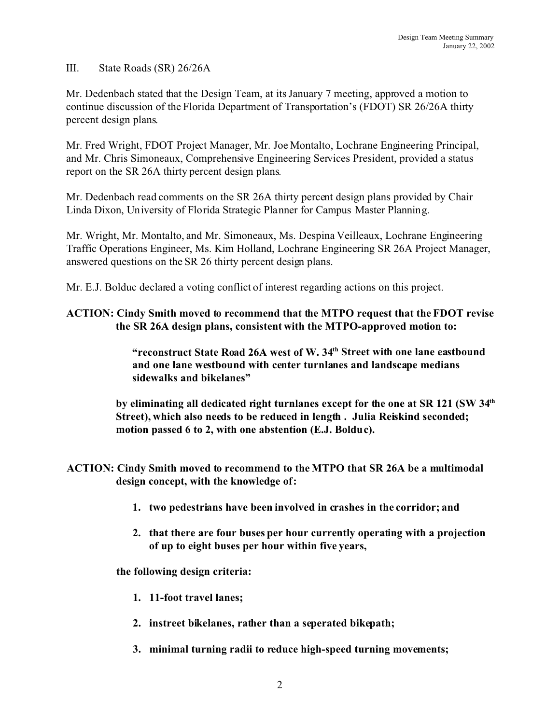III. State Roads (SR) 26/26A

Mr. Dedenbach stated that the Design Team, at its January 7 meeting, approved a motion to continue discussion of the Florida Department of Transportation's (FDOT) SR 26/26A thirty percent design plans.

Mr. Fred Wright, FDOT Project Manager, Mr. Joe Montalto, Lochrane Engineering Principal, and Mr. Chris Simoneaux, Comprehensive Engineering Services President, provided a status report on the SR 26A thirty percent design plans.

Mr. Dedenbach read comments on the SR 26A thirty percent design plans provided by Chair Linda Dixon, University of Florida Strategic Planner for Campus Master Planning.

Mr. Wright, Mr. Montalto, and Mr. Simoneaux, Ms. Despina Veilleaux, Lochrane Engineering Traffic Operations Engineer, Ms. Kim Holland, Lochrane Engineering SR 26A Project Manager, answered questions on the SR 26 thirty percent design plans.

Mr. E.J. Bolduc declared a voting conflict of interest regarding actions on this project.

## **ACTION: Cindy Smith moved to recommend that the MTPO request that the FDOT revise the SR 26A design plans, consistent with the MTPO-approved motion to:**

**"reconstruct State Road 26A west of W. 34th Street with one lane eastbound and one lane westbound with center turnlanes and landscape medians sidewalks and bikelanes"**

**by eliminating all dedicated right turnlanes except for the one at SR 121 (SW 34th Street), which also needs to be reduced in length . Julia Reiskind seconded; motion passed 6 to 2, with one abstention (E.J. Bolduc).**

**ACTION: Cindy Smith moved to recommend to the MTPO that SR 26A be a multimodal design concept, with the knowledge of:** 

- **1. two pedestrians have been involved in crashes in the corridor; and**
- **2. that there are four buses per hour currently operating with a projection of up to eight buses per hour within five years,**

**the following design criteria:**

- **1. 11-foot travel lanes;**
- **2. instreet bikelanes, rather than a seperated bikepath;**
- **3. minimal turning radii to reduce high-speed turning movements;**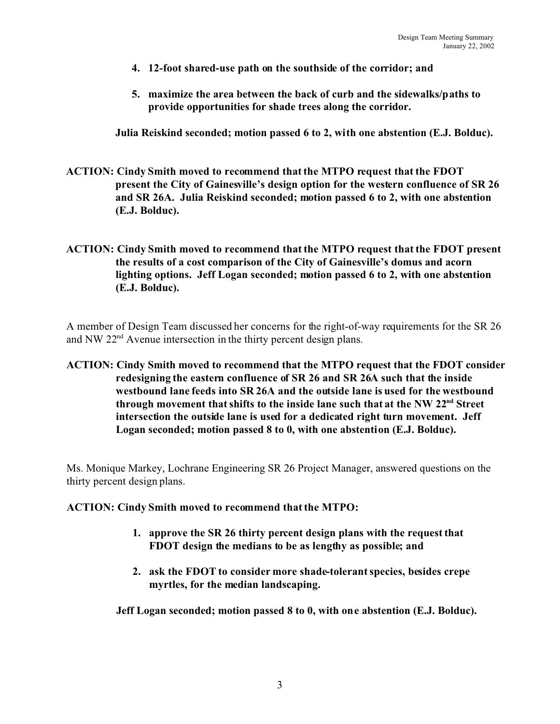- **4. 12-foot shared-use path on the southside of the corridor; and**
- **5. maximize the area between the back of curb and the sidewalks/paths to provide opportunities for shade trees along the corridor.**

**Julia Reiskind seconded; motion passed 6 to 2, with one abstention (E.J. Bolduc).**

- **ACTION: Cindy Smith moved to recommend that the MTPO request that the FDOT present the City of Gainesville's design option for the western confluence of SR 26 and SR 26A. Julia Reiskind seconded; motion passed 6 to 2, with one abstention (E.J. Bolduc).**
- **ACTION: Cindy Smith moved to recommend that the MTPO request that the FDOT present the results of a cost comparison of the City of Gainesville's domus and acorn lighting options. Jeff Logan seconded; motion passed 6 to 2, with one abstention (E.J. Bolduc).**

A member of Design Team discussed her concerns for the right-of-way requirements for the SR 26 and NW 22nd Avenue intersection in the thirty percent design plans.

**ACTION: Cindy Smith moved to recommend that the MTPO request that the FDOT consider redesigning the eastern confluence of SR 26 and SR 26A such that the inside westbound lane feeds into SR 26A and the outside lane is used for the westbound through movement that shifts to the inside lane such that at the NW 22nd Street intersection the outside lane is used for a dedicated right turn movement. Jeff Logan seconded; motion passed 8 to 0, with one abstention (E.J. Bolduc).**

Ms. Monique Markey, Lochrane Engineering SR 26 Project Manager, answered questions on the thirty percent design plans.

#### **ACTION: Cindy Smith moved to recommend that the MTPO:**

- **1. approve the SR 26 thirty percent design plans with the request that FDOT design the medians to be as lengthy as possible; and**
- **2. ask the FDOT to consider more shade-tolerant species, besides crepe myrtles, for the median landscaping.**

**Jeff Logan seconded; motion passed 8 to 0, with one abstention (E.J. Bolduc).**